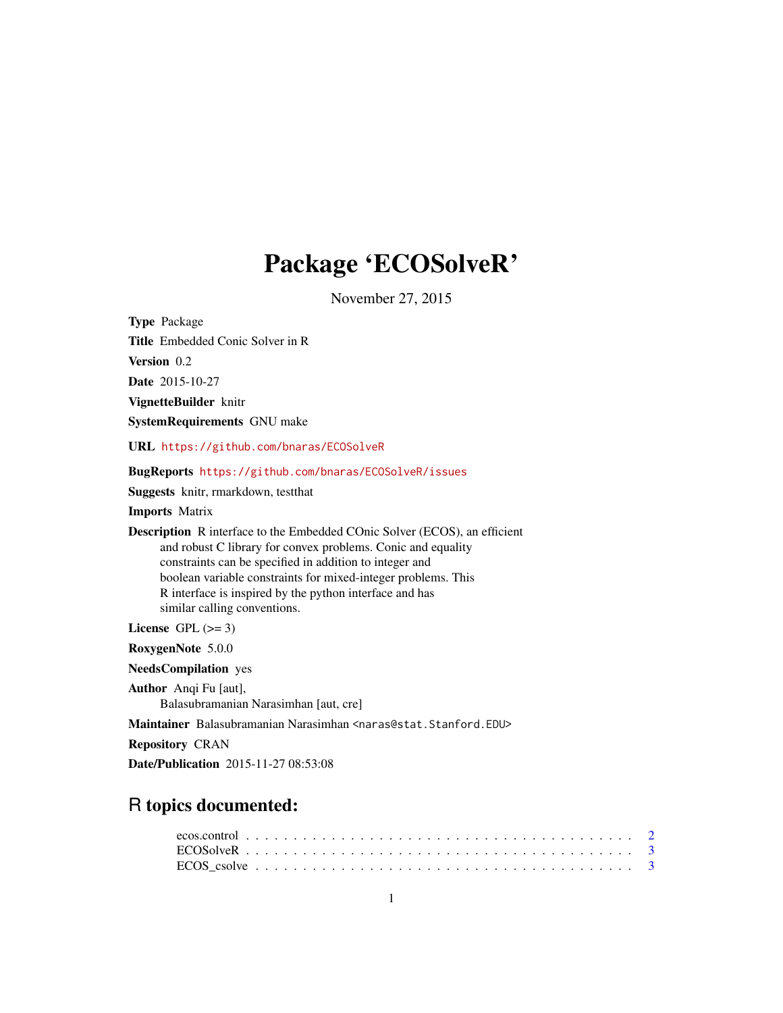## Package 'ECOSolveR'

November 27, 2015

<span id="page-0-0"></span>

| <b>Type Package</b>                                                                                                                                                                                                                                                                                                                                                     |
|-------------------------------------------------------------------------------------------------------------------------------------------------------------------------------------------------------------------------------------------------------------------------------------------------------------------------------------------------------------------------|
| <b>Title</b> Embedded Conic Solver in R                                                                                                                                                                                                                                                                                                                                 |
| Version 0.2                                                                                                                                                                                                                                                                                                                                                             |
| <b>Date</b> 2015-10-27                                                                                                                                                                                                                                                                                                                                                  |
| VignetteBuilder knitr                                                                                                                                                                                                                                                                                                                                                   |
| <b>SystemRequirements GNU make</b>                                                                                                                                                                                                                                                                                                                                      |
| URL https://github.com/bnaras/ECOSolveR                                                                                                                                                                                                                                                                                                                                 |
| <b>BugReports</b> https://github.com/bnaras/ECOSolveR/issues                                                                                                                                                                                                                                                                                                            |
| <b>Suggests</b> knitr, rmarkdown, test that                                                                                                                                                                                                                                                                                                                             |
| <b>Imports</b> Matrix                                                                                                                                                                                                                                                                                                                                                   |
| <b>Description</b> R interface to the Embedded COnic Solver (ECOS), an efficient<br>and robust C library for convex problems. Conic and equality<br>constraints can be specified in addition to integer and<br>boolean variable constraints for mixed-integer problems. This<br>R interface is inspired by the python interface and has<br>similar calling conventions. |
| License $GPL \, (>= 3)$                                                                                                                                                                                                                                                                                                                                                 |
| RoxygenNote 5.0.0                                                                                                                                                                                                                                                                                                                                                       |
| <b>NeedsCompilation</b> yes                                                                                                                                                                                                                                                                                                                                             |
| Author Anqi Fu [aut],<br>Balasubramanian Narasimhan [aut, cre]                                                                                                                                                                                                                                                                                                          |
| Maintainer Balasubramanian Narasimhan <naras@stat.stanford.edu></naras@stat.stanford.edu>                                                                                                                                                                                                                                                                               |
| <b>Repository CRAN</b>                                                                                                                                                                                                                                                                                                                                                  |

Date/Publication 2015-11-27 08:53:08

### R topics documented: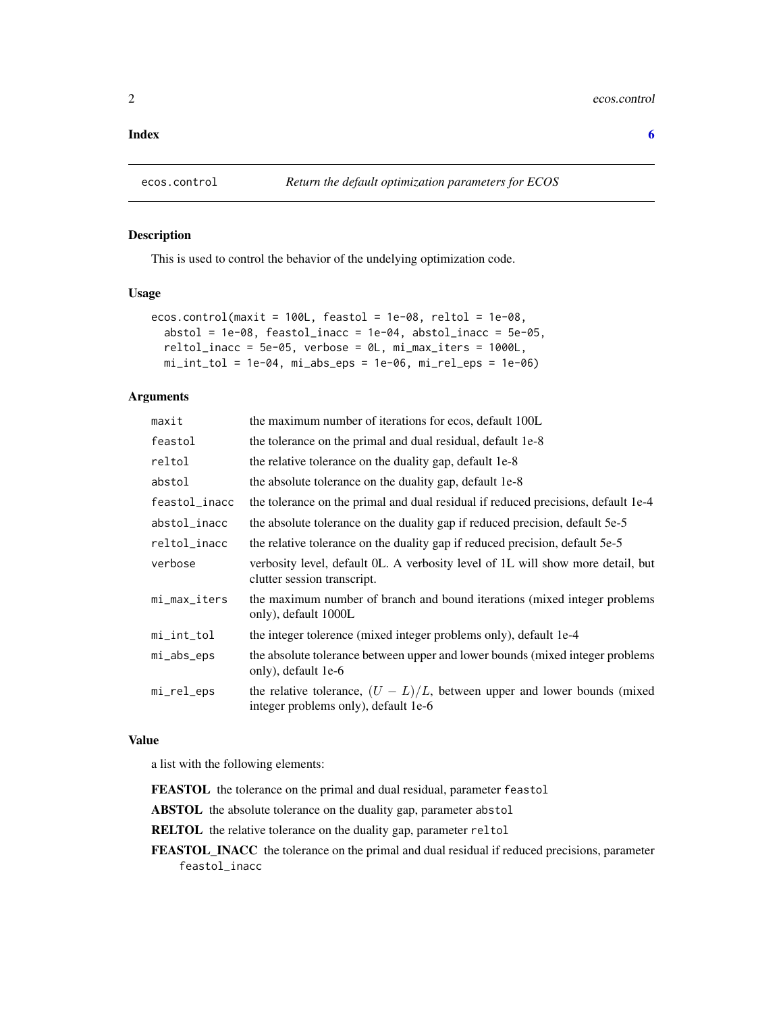#### <span id="page-1-0"></span>**Index** [6](#page-5-0) **6**

<span id="page-1-1"></span>

#### Description

This is used to control the behavior of the undelying optimization code.

#### Usage

```
ecos.control(maxit = 100L, feastol = 1e-08, reltol = 1e-08,
  abstol = 1e-08, feastol_inacc = 1e-04, abstol_inacc = 5e-05,
  reltol_inacc = 5e-05, verbose = 0L, mi_max_iters = 1000L,
  mi\_int\_tol = 1e-04, mi\_abs\_eps = 1e-06, mi\_rel\_eps = 1e-06)
```
#### Arguments

| maxit         | the maximum number of iterations for ecos, default 100L                                                             |
|---------------|---------------------------------------------------------------------------------------------------------------------|
| feastol       | the tolerance on the primal and dual residual, default 1e-8                                                         |
| reltol        | the relative tolerance on the duality gap, default 1e-8                                                             |
| abstol        | the absolute tolerance on the duality gap, default 1e-8                                                             |
| feastol_inacc | the tolerance on the primal and dual residual if reduced precisions, default 1e-4                                   |
| abstol_inacc  | the absolute tolerance on the duality gap if reduced precision, default 5e-5                                        |
| reltol_inacc  | the relative tolerance on the duality gap if reduced precision, default 5e-5                                        |
| verbose       | verbosity level, default OL. A verbosity level of 1L will show more detail, but<br>clutter session transcript.      |
| mi_max_iters  | the maximum number of branch and bound iterations (mixed integer problems)<br>only), default 1000L                  |
| mi_int_tol    | the integer tolerence (mixed integer problems only), default 1e-4                                                   |
| mi_abs_eps    | the absolute tolerance between upper and lower bounds (mixed integer problems<br>only), default 1e-6                |
| mi_rel_eps    | the relative tolerance, $(U - L)/L$ , between upper and lower bounds (mixed<br>integer problems only), default 1e-6 |

#### Value

a list with the following elements:

FEASTOL the tolerance on the primal and dual residual, parameter feastol

ABSTOL the absolute tolerance on the duality gap, parameter abstol

RELTOL the relative tolerance on the duality gap, parameter reltol

FEASTOL\_INACC the tolerance on the primal and dual residual if reduced precisions, parameter feastol\_inacc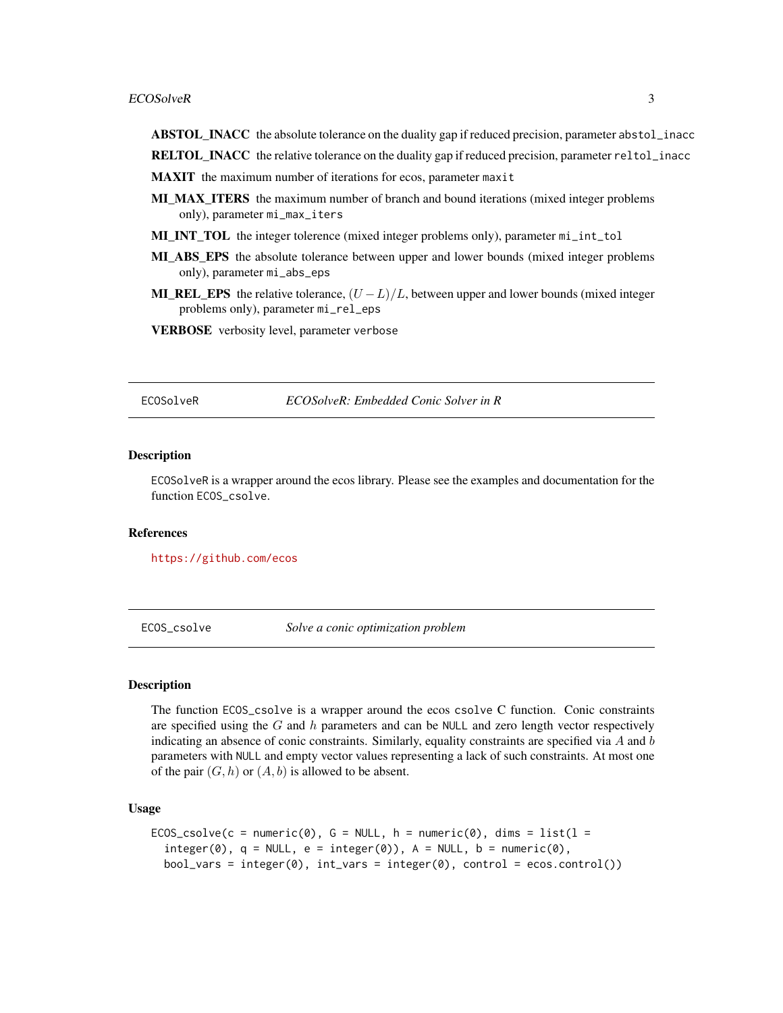- <span id="page-2-0"></span>ABSTOL\_INACC the absolute tolerance on the duality gap if reduced precision, parameter abstol\_inacc
- RELTOL\_INACC the relative tolerance on the duality gap if reduced precision, parameter reltol\_inacc
- MAXIT the maximum number of iterations for ecos, parameter maxit
- **MI\_MAX\_ITERS** the maximum number of branch and bound iterations (mixed integer problems only), parameter mi\_max\_iters
- MI\_INT\_TOL the integer tolerence (mixed integer problems only), parameter mi\_int\_tol
- MI\_ABS\_EPS\_ the absolute tolerance between upper and lower bounds (mixed integer problems only), parameter mi\_abs\_eps
- **MI\_REL\_EPS** the relative tolerance,  $(U L)/L$ , between upper and lower bounds (mixed integer problems only), parameter mi\_rel\_eps
- VERBOSE verbosity level, parameter verbose

ECOSolveR *ECOSolveR: Embedded Conic Solver in R*

#### **Description**

ECOSolveR is a wrapper around the ecos library. Please see the examples and documentation for the function ECOS\_csolve.

#### References

<https://github.com/ecos>

ECOS\_csolve *Solve a conic optimization problem*

#### Description

The function ECOS\_csolve is a wrapper around the ecos csolve C function. Conic constraints are specified using the  $G$  and  $h$  parameters and can be NULL and zero length vector respectively indicating an absence of conic constraints. Similarly, equality constraints are specified via  $A$  and  $b$ parameters with NULL and empty vector values representing a lack of such constraints. At most one of the pair  $(G, h)$  or  $(A, b)$  is allowed to be absent.

#### Usage

```
ECOS_csolve(c = numeric(0), G = NULL, h = numeric(0), dims = list(1 =integer(0), q = NULL, e = integer(0)), A = NULL, b = numeric(0),bool\_vars = integer(0), int\_vars = integer(0), control = ecos.control())
```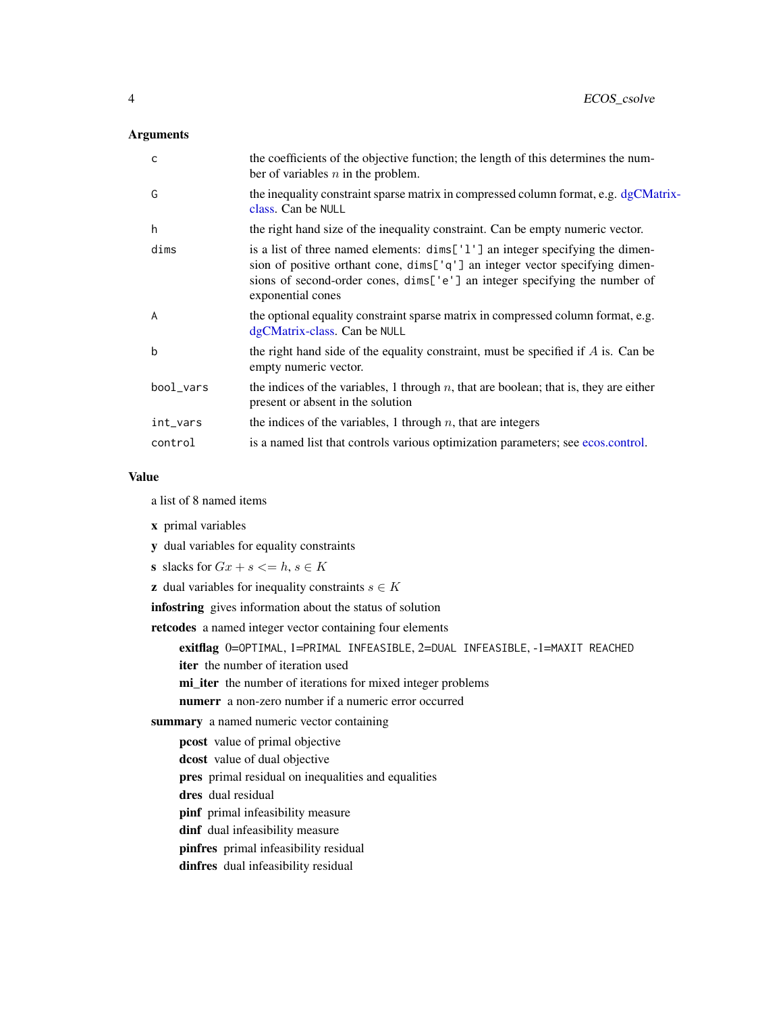### <span id="page-3-0"></span>Arguments

| C              | the coefficients of the objective function; the length of this determines the num-<br>ber of variables $n$ in the problem.                                                                                                                                       |
|----------------|------------------------------------------------------------------------------------------------------------------------------------------------------------------------------------------------------------------------------------------------------------------|
| G              | the inequality constraint sparse matrix in compressed column format, e.g. dgCMatrix-<br>class. Can be NULL                                                                                                                                                       |
| h              | the right hand size of the inequality constraint. Can be empty numeric vector.                                                                                                                                                                                   |
| dims           | is a list of three named elements: dims['1'] an integer specifying the dimen-<br>sion of positive orthant cone, dims['q'] an integer vector specifying dimen-<br>sions of second-order cones, dims['e'] an integer specifying the number of<br>exponential cones |
| $\overline{A}$ | the optional equality constraint sparse matrix in compressed column format, e.g.<br>dgCMatrix-class. Can be NULL                                                                                                                                                 |
| $\mathbf b$    | the right hand side of the equality constraint, must be specified if $A$ is. Can be<br>empty numeric vector.                                                                                                                                                     |
| bool_vars      | the indices of the variables, 1 through $n$ , that are boolean; that is, they are either<br>present or absent in the solution                                                                                                                                    |
| int_vars       | the indices of the variables, 1 through $n$ , that are integers                                                                                                                                                                                                  |
| control        | is a named list that controls various optimization parameters; see ecos.control.                                                                                                                                                                                 |

#### Value

a list of 8 named items

- x primal variables
- y dual variables for equality constraints
- s slacks for  $Gx + s \leq h, s \in K$
- **z** dual variables for inequality constraints  $s \in K$

infostring gives information about the status of solution

retcodes a named integer vector containing four elements

exitflag 0=OPTIMAL, 1=PRIMAL INFEASIBLE, 2=DUAL INFEASIBLE, -1=MAXIT REACHED

iter the number of iteration used

mi\_iter the number of iterations for mixed integer problems

numerr a non-zero number if a numeric error occurred

summary a named numeric vector containing

- pcost value of primal objective
- dcost value of dual objective

pres primal residual on inequalities and equalities

dres dual residual

pinf primal infeasibility measure

- dinf dual infeasibility measure
- pinfres primal infeasibility residual
- dinfres dual infeasibility residual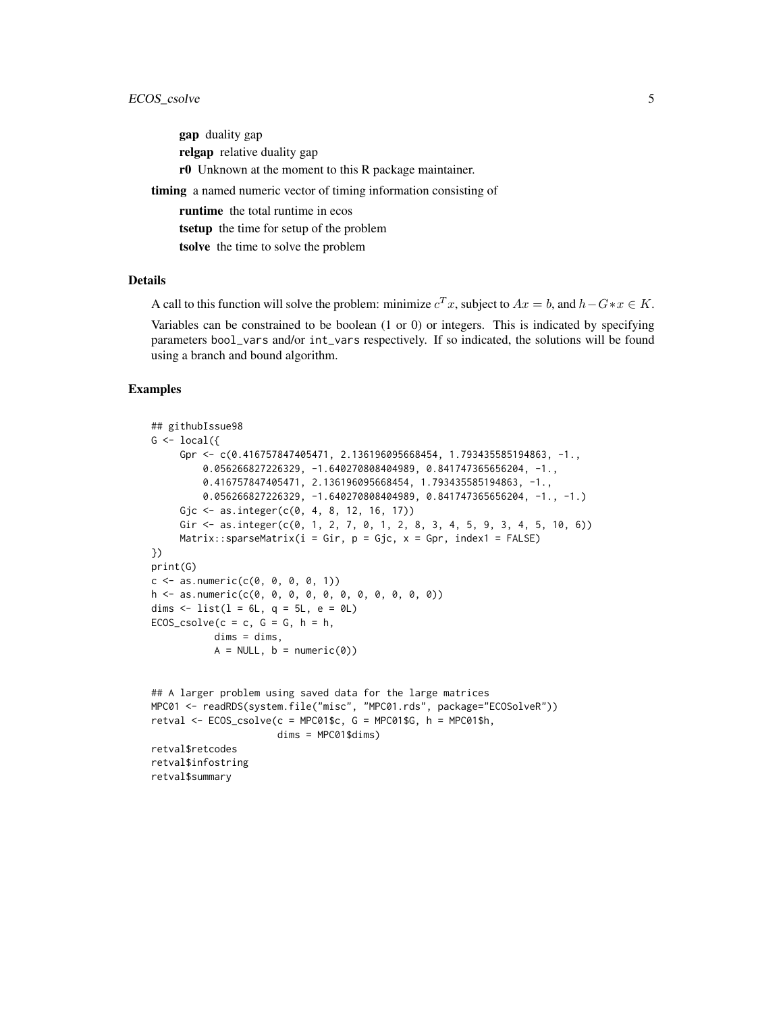gap duality gap relgap relative duality gap r0 Unknown at the moment to this R package maintainer. timing a named numeric vector of timing information consisting of runtime the total runtime in ecos tsetup the time for setup of the problem tsolve the time to solve the problem

### Details

A call to this function will solve the problem: minimize  $c^T x$ , subject to  $Ax = b$ , and  $h - G * x \in K$ .

Variables can be constrained to be boolean (1 or 0) or integers. This is indicated by specifying parameters bool\_vars and/or int\_vars respectively. If so indicated, the solutions will be found using a branch and bound algorithm.

#### Examples

retval\$summary

```
## githubIssue98
G \leftarrow local({}Gpr <- c(0.416757847405471, 2.136196095668454, 1.793435585194863, -1.,
         0.056266827226329, -1.640270808404989, 0.841747365656204, -1.,
         0.416757847405471, 2.136196095668454, 1.793435585194863, -1.,
         0.056266827226329, -1.640270808404989, 0.841747365656204, -1., -1.)
     Gjc <- as.integer(c(0, 4, 8, 12, 16, 17))
     Gir <- as.integer(c(0, 1, 2, 7, 0, 1, 2, 8, 3, 4, 5, 9, 3, 4, 5, 10, 6))
     Matrix::sparseMatrix(i = Gir, p = Gjc, x = Gpr, index1 = FALSE)})
print(G)
c \leq -as.numeric(c(0, 0, 0, 0, 1))h <- as.numeric(c(0, 0, 0, 0, 0, 0, 0, 0, 0, 0, 0))
dims \leftarrow list(l = 6L, q = 5L, e = 0L)
ECOS_csolve(c = c, G = G, h = h,dims = dims,
           A = NULL, b = numeric(0)## A larger problem using saved data for the large matrices
MPC01 <- readRDS(system.file("misc", "MPC01.rds", package="ECOSolveR"))
retval \leq ECOS_csolve(c = MPC01$c, G = MPC01$G, h = MPC01$h,
                      dims = MPC01$dims)
retval$retcodes
retval$infostring
```